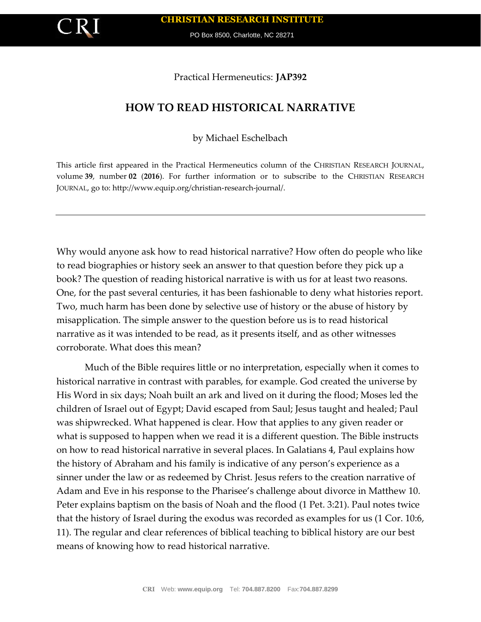

PO Box 8500, Charlotte, NC 28271

Practical Hermeneutics: **JAP392**

## **HOW TO READ HISTORICAL NARRATIVE**

by Michael Eschelbach

This article first appeared in the Practical Hermeneutics column of the CHRISTIAN RESEARCH JOURNAL, volume **39**, number **02** (**2016**). For further information or to subscribe to the CHRISTIAN RESEARCH JOURNAL, go to: http://www.equip.org/christian-research-journal/.

Why would anyone ask how to read historical narrative? How often do people who like to read biographies or history seek an answer to that question before they pick up a book? The question of reading historical narrative is with us for at least two reasons. One, for the past several centuries, it has been fashionable to deny what histories report. Two, much harm has been done by selective use of history or the abuse of history by misapplication. The simple answer to the question before us is to read historical narrative as it was intended to be read, as it presents itself, and as other witnesses corroborate. What does this mean?

Much of the Bible requires little or no interpretation, especially when it comes to historical narrative in contrast with parables, for example. God created the universe by His Word in six days; Noah built an ark and lived on it during the flood; Moses led the children of Israel out of Egypt; David escaped from Saul; Jesus taught and healed; Paul was shipwrecked. What happened is clear. How that applies to any given reader or what is supposed to happen when we read it is a different question. The Bible instructs on how to read historical narrative in several places. In Galatians 4, Paul explains how the history of Abraham and his family is indicative of any person's experience as a sinner under the law or as redeemed by Christ. Jesus refers to the creation narrative of Adam and Eve in his response to the Pharisee's challenge about divorce in Matthew 10. Peter explains baptism on the basis of Noah and the flood (1 Pet. 3:21). Paul notes twice that the history of Israel during the exodus was recorded as examples for us (1 Cor. 10:6, 11). The regular and clear references of biblical teaching to biblical history are our best means of knowing how to read historical narrative.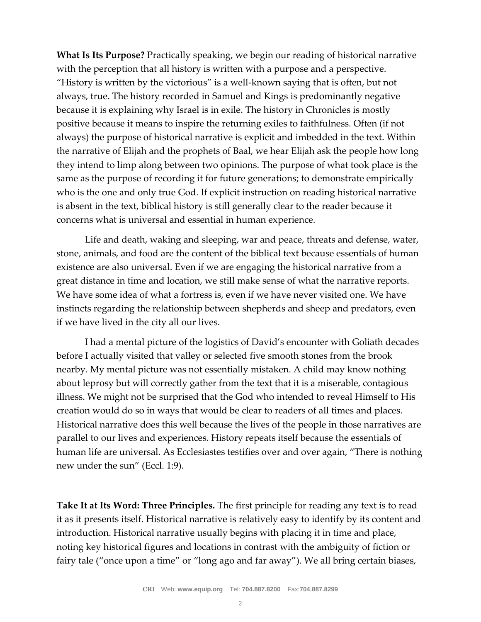**What Is Its Purpose?** Practically speaking, we begin our reading of historical narrative with the perception that all history is written with a purpose and a perspective. "History is written by the victorious" is a well-known saying that is often, but not always, true. The history recorded in Samuel and Kings is predominantly negative because it is explaining why Israel is in exile. The history in Chronicles is mostly positive because it means to inspire the returning exiles to faithfulness. Often (if not always) the purpose of historical narrative is explicit and imbedded in the text. Within the narrative of Elijah and the prophets of Baal, we hear Elijah ask the people how long they intend to limp along between two opinions. The purpose of what took place is the same as the purpose of recording it for future generations; to demonstrate empirically who is the one and only true God. If explicit instruction on reading historical narrative is absent in the text, biblical history is still generally clear to the reader because it concerns what is universal and essential in human experience.

Life and death, waking and sleeping, war and peace, threats and defense, water, stone, animals, and food are the content of the biblical text because essentials of human existence are also universal. Even if we are engaging the historical narrative from a great distance in time and location, we still make sense of what the narrative reports. We have some idea of what a fortress is, even if we have never visited one. We have instincts regarding the relationship between shepherds and sheep and predators, even if we have lived in the city all our lives.

I had a mental picture of the logistics of David's encounter with Goliath decades before I actually visited that valley or selected five smooth stones from the brook nearby. My mental picture was not essentially mistaken. A child may know nothing about leprosy but will correctly gather from the text that it is a miserable, contagious illness. We might not be surprised that the God who intended to reveal Himself to His creation would do so in ways that would be clear to readers of all times and places. Historical narrative does this well because the lives of the people in those narratives are parallel to our lives and experiences. History repeats itself because the essentials of human life are universal. As Ecclesiastes testifies over and over again, "There is nothing new under the sun" (Eccl. 1:9).

**Take It at Its Word: Three Principles.** The first principle for reading any text is to read it as it presents itself. Historical narrative is relatively easy to identify by its content and introduction. Historical narrative usually begins with placing it in time and place, noting key historical figures and locations in contrast with the ambiguity of fiction or fairy tale ("once upon a time" or "long ago and far away"). We all bring certain biases,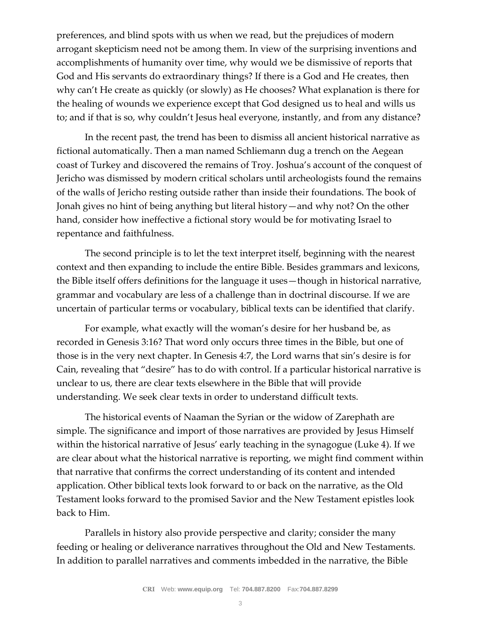preferences, and blind spots with us when we read, but the prejudices of modern arrogant skepticism need not be among them. In view of the surprising inventions and accomplishments of humanity over time, why would we be dismissive of reports that God and His servants do extraordinary things? If there is a God and He creates, then why can't He create as quickly (or slowly) as He chooses? What explanation is there for the healing of wounds we experience except that God designed us to heal and wills us to; and if that is so, why couldn't Jesus heal everyone, instantly, and from any distance?

In the recent past, the trend has been to dismiss all ancient historical narrative as fictional automatically. Then a man named Schliemann dug a trench on the Aegean coast of Turkey and discovered the remains of Troy. Joshua's account of the conquest of Jericho was dismissed by modern critical scholars until archeologists found the remains of the walls of Jericho resting outside rather than inside their foundations. The book of Jonah gives no hint of being anything but literal history—and why not? On the other hand, consider how ineffective a fictional story would be for motivating Israel to repentance and faithfulness.

The second principle is to let the text interpret itself, beginning with the nearest context and then expanding to include the entire Bible. Besides grammars and lexicons, the Bible itself offers definitions for the language it uses—though in historical narrative, grammar and vocabulary are less of a challenge than in doctrinal discourse. If we are uncertain of particular terms or vocabulary, biblical texts can be identified that clarify.

For example, what exactly will the woman's desire for her husband be, as recorded in Genesis 3:16? That word only occurs three times in the Bible, but one of those is in the very next chapter. In Genesis 4:7, the Lord warns that sin's desire is for Cain, revealing that "desire" has to do with control. If a particular historical narrative is unclear to us, there are clear texts elsewhere in the Bible that will provide understanding. We seek clear texts in order to understand difficult texts.

The historical events of Naaman the Syrian or the widow of Zarephath are simple. The significance and import of those narratives are provided by Jesus Himself within the historical narrative of Jesus' early teaching in the synagogue (Luke 4). If we are clear about what the historical narrative is reporting, we might find comment within that narrative that confirms the correct understanding of its content and intended application. Other biblical texts look forward to or back on the narrative, as the Old Testament looks forward to the promised Savior and the New Testament epistles look back to Him.

Parallels in history also provide perspective and clarity; consider the many feeding or healing or deliverance narratives throughout the Old and New Testaments. In addition to parallel narratives and comments imbedded in the narrative, the Bible